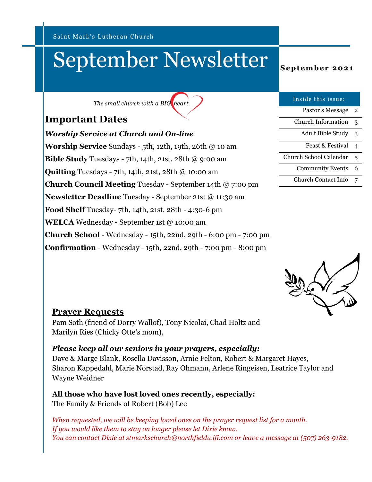Saint Mark's Lutheran Church

# September Newsletter **September 2021**

*The small church with a BIG heart.*

### **Important Dates**

*Worship Service at Church and On-line* **Worship Service** Sundays - 5th, 12th, 19th, 26th @ 10 am **Bible Study** Tuesdays - 7th, 14th, 21st, 28th @ 9:00 am **Quilting** Tuesdays - 7th, 14th, 21st, 28th @ 10:00 am **Church Council Meeting** Tuesday - September 14th @ 7:00 pm **Newsletter Deadline** Tuesday - September 21st @ 11:30 am **Food Shelf** Tuesday- 7th, 14th, 21st, 28th - 4:30-6 pm **WELCA** Wednesday - September 1st @ 10:00 am **Church School** - Wednesday - 15th, 22nd, 29th - 6:00 pm - 7:00 pm **Confirmation** - Wednesday - 15th, 22nd, 29th - 7:00 pm - 8:00 pm

| Inside this issue:            |   |
|-------------------------------|---|
| Pastor's Message              | 2 |
| Church Information            | 3 |
| Adult Bible Study             | 3 |
| Feast & Festival              |   |
| <b>Church School Calendar</b> | 5 |
| <b>Community Events</b>       | 6 |
| <b>Church Contact Info</b>    |   |



#### **Prayer Requests**

Pam Soth (friend of Dorry Wallof), Tony Nicolai, Chad Holtz and Marilyn Ries (Chicky Otte's mom),

#### *Please keep all our seniors in your prayers, especially:*

Dave & Marge Blank, Rosella Davisson, Arnie Felton, Robert & Margaret Hayes, Sharon Kappedahl, Marie Norstad, Ray Ohmann, Arlene Ringeisen, Leatrice Taylor and Wayne Weidner

**All those who have lost loved ones recently, especially:** The Family & Friends of Robert (Bob) Lee

*When requested, we will be keeping loved ones on the prayer request list for a month. If you would like them to stay on longer please let Dixie know. You can contact Dixie at stmarkschurch@northfieldwifi.com or leave a message at (507) 263-9182.*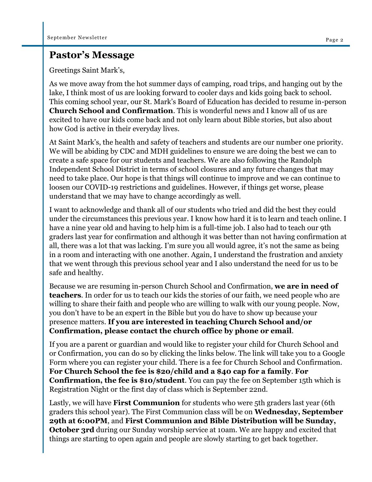### **Pastor's Message**

Greetings Saint Mark's,

As we move away from the hot summer days of camping, road trips, and hanging out by the lake, I think most of us are looking forward to cooler days and kids going back to school. This coming school year, our St. Mark's Board of Education has decided to resume in-person **Church School and Confirmation**. This is wonderful news and I know all of us are excited to have our kids come back and not only learn about Bible stories, but also about how God is active in their everyday lives.

At Saint Mark's, the health and safety of teachers and students are our number one priority. We will be abiding by CDC and MDH guidelines to ensure we are doing the best we can to create a safe space for our students and teachers. We are also following the Randolph Independent School District in terms of school closures and any future changes that may need to take place. Our hope is that things will continue to improve and we can continue to loosen our COVID-19 restrictions and guidelines. However, if things get worse, please understand that we may have to change accordingly as well.

I want to acknowledge and thank all of our students who tried and did the best they could under the circumstances this previous year. I know how hard it is to learn and teach online. I have a nine year old and having to help him is a full-time job. I also had to teach our 9th graders last year for confirmation and although it was better than not having confirmation at all, there was a lot that was lacking. I'm sure you all would agree, it's not the same as being in a room and interacting with one another. Again, I understand the frustration and anxiety that we went through this previous school year and I also understand the need for us to be safe and healthy.

Because we are resuming in-person Church School and Confirmation, **we are in need of teachers**. In order for us to teach our kids the stories of our faith, we need people who are willing to share their faith and people who are willing to walk with our young people. Now, you don't have to be an expert in the Bible but you do have to show up because your presence matters. **If you are interested in teaching Church School and/or Confirmation, please contact the church office by phone or email**.

If you are a parent or guardian and would like to register your child for Church School and or Confirmation, you can do so by clicking the links below. The link will take you to a Google Form where you can register your child. There is a fee for Church School and Confirmation. **For Church School the fee is \$20/child and a \$40 cap for a family**. **For Confirmation, the fee is \$10/student**. You can pay the fee on September 15th which is Registration Night or the first day of class which is September 22nd.

Lastly, we will have **First Communion** for students who were 5th graders last year (6th graders this school year). The First Communion class will be on **Wednesday, September 29th at 6:00PM**, and **First Communion and Bible Distribution will be Sunday, October 3rd** during our Sunday worship service at 10am. We are happy and excited that things are starting to open again and people are slowly starting to get back together.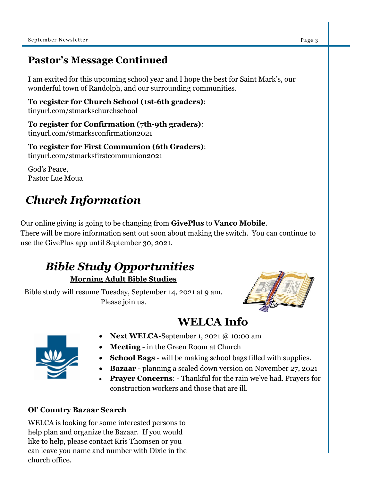### **Pastor's Message Continued**

I am excited for this upcoming school year and I hope the best for Saint Mark's, our wonderful town of Randolph, and our surrounding communities.

**To register for Church School (1st-6th graders)**: tinyurl.com/stmarkschurchschool

**To register for Confirmation (7th-9th graders)**: tinyurl.com/stmarksconfirmation2021

**To register for First Communion (6th Graders)**: tinyurl.com/stmarksfirstcommunion2021

God's Peace, Pastor Lue Moua

# *Church Information*

Our online giving is going to be changing from **GivePlus** to **Vanco Mobile**. There will be more information sent out soon about making the switch. You can continue to use the GivePlus app until September 30, 2021.

# *Bible Study Opportunities*

**Morning Adult Bible Studies**

Bible study will resume Tuesday, September 14, 2021 at 9 am. Please join us.



## **WELCA Info**



- **Next WELCA-**September 1, 2021 @ 10:00 am
- **Meeting** in the Green Room at Church
- **School Bags**  will be making school bags filled with supplies.
- **Bazaar** planning a scaled down version on November 27, 2021
- **Prayer Concerns**: Thankful for the rain we've had. Prayers for construction workers and those that are ill.

### **Ol' Country Bazaar Search**

WELCA is looking for some interested persons to help plan and organize the Bazaar. If you would like to help, please contact Kris Thomsen or you can leave you name and number with Dixie in the church office.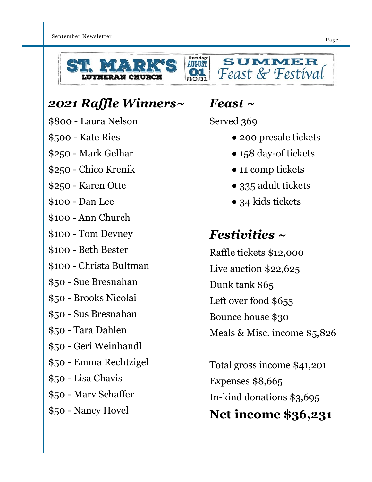





# *2021 Raffle Winners~*

- \$800 Laura Nelson
- \$500 Kate Ries
- \$250 Mark Gelhar
- \$250 Chico Krenik
- \$250 Karen Otte
- \$100 Dan Lee
- \$100 Ann Church
- \$100 Tom Devney
- \$100 Beth Bester
- \$100 Christa Bultman
- \$50 Sue Bresnahan
- \$50 Brooks Nicolai
- \$50 Sus Bresnahan
- \$50 Tara Dahlen
- \$50 Geri Weinhandl
- \$50 Emma Rechtzigel
- \$50 Lisa Chavis
- \$50 Marv Schaffer
- \$50 Nancy Hovel

# *Feast ~*

Served 369

- 200 presale tickets
- 158 day-of tickets
- 11 comp tickets
- 335 adult tickets
- 34 kids tickets

# *Festivities ~*

Raffle tickets \$12,000 Live auction \$22,625 Dunk tank \$65 Left over food \$655 Bounce house \$30 Meals & Misc. income \$5,826

Total gross income \$41,201 Expenses \$8,665 In-kind donations \$3,695 **Net income \$36,231**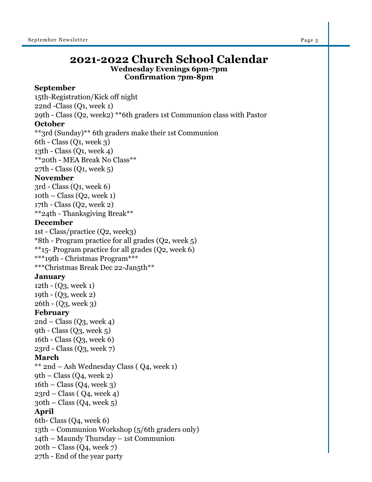### **2021-2022 Church School Calendar Wednesday Evenings 6pm-7pm**

**Confirmation 7pm-8pm**

#### **September**

15th-Registration/Kick off night 22nd -Class (Q1, week 1) 29th - Class (Q2, week2) \*\*6th graders 1st Communion class with Pastor **October**  \*\*3rd (Sunday)\*\* 6th graders make their 1st Communion 6th - Class (Q1, week 3) 13th - Class (Q1, week 4) \*\*20th - MEA Break No Class\*\* 27th - Class (Q1, week 5) **November**  3rd - Class (Q1, week 6)  $10th$  – Class (Q2, week 1) 17th - Class (Q2, week 2) \*\*24th - Thanksgiving Break\*\* **December**  1st - Class/practice (Q2, week3) \*8th - Program practice for all grades (Q2, week 5) \*\*15- Program practice for all grades (Q2, week 6) \*\*\*19th - Christmas Program\*\*\* \*\*\*Christmas Break Dec 22-Jan5th\*\* **January**  12th - (Q3, week 1) 19th - (Q3, week 2) 26th - (Q3, week 3) **February**   $2nd$  – Class (Q<sub>3</sub>, week 4) 9th - Class  $(Q_3, \text{ week } 5)$ 16th - Class (Q3, week 6) 23rd - Class (Q3, week 7) **March**  \*\* 2nd – Ash Wednesday Class ( Q4, week 1)  $9th$  – Class (Q4, week 2)  $16th$  – Class (Q4, week 3)  $23rd$  – Class ( Q4, week 4)  $30th$  – Class (Q4, week 5) **April**  6th- Class (Q4, week 6) 13th – Communion Workshop (5/6th graders only) 14th – Maundy Thursday – 1st Communion  $20th$  – Class (Q4, week 7) 27th - End of the year party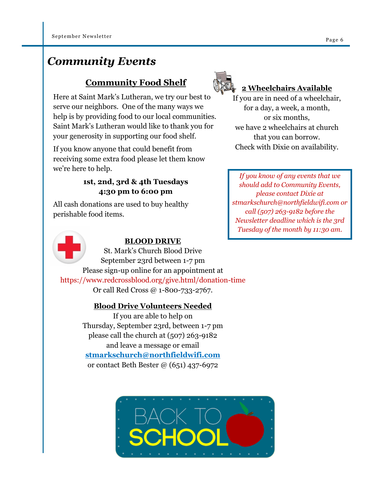### *Community Events*

### **Community Food Shelf**

Here at Saint Mark's Lutheran, we try our best to serve our neighbors. One of the many ways we help is by providing food to our local communities. Saint Mark's Lutheran would like to thank you for your generosity in supporting our food shelf.

If you know anyone that could benefit from receiving some extra food please let them know we're here to help.

### **1st, 2nd, 3rd & 4th Tuesdays 4:30 pm to 6:00 pm**

All cash donations are used to buy healthy perishable food items.



### **BLOOD DRIVE**

St. Mark's Church Blood Drive September 23rd between 1-7 pm Please sign-up online for an appointment at https://www.redcrossblood.org/give.html/donation-time Or call Red Cross @ 1-800-733-2767.

### **Blood Drive Volunteers Needed**

If you are able to help on Thursday, September 23rd, between 1-7 pm please call the church at (507) 263-9182 and leave a message or email **stmarkschurch@northfieldwifi.com**  or contact Beth Bester @ (651) 437-6972





### **2 Wheelchairs Available**

If you are in need of a wheelchair, for a day, a week, a month, or six months, we have 2 wheelchairs at church that you can borrow. Check with Dixie on availability.

*If you know of any events that we should add to Community Events, please contact Dixie at stmarkschurch@northfieldwifi.com or call (507) 263-9182 before the Newsletter deadline which is the 3rd Tuesday of the month by 11:30 am.*